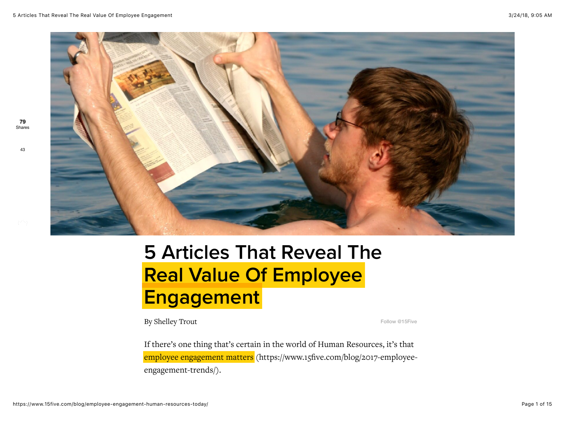**79** Shares

[43](javascript:void(0);)



# 5 Articles That Reveal The Real Value Of Employee **Engagement**

By Shelley Trout [Follow @15Five](https://twitter.com/intent/follow?original_referer=https%3A%2F%2Fwww.15five.com%2Fblog%2Femployee-engagement-human-resources-today%2F&ref_src=twsrc%5Etfw®ion=follow_link&screen_name=15Five&tw_p=followbutton)

If there's one thing that's certain in the world of Human Resources, it's that [employee engagement matters \(https://www.15five.com/blog/2017-employee](https://www.15five.com/blog/2017-employee-engagement-trends/)engagement-trends/).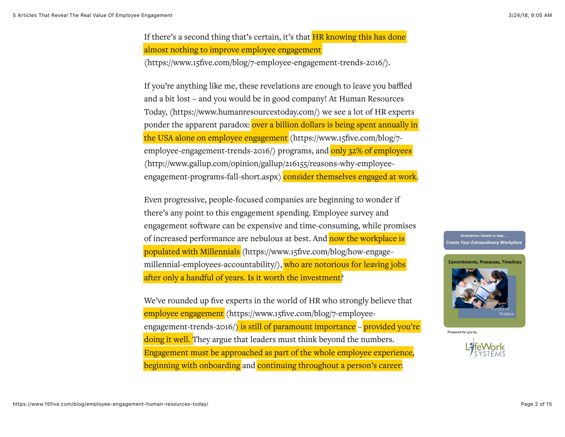If there's a second thing that's certain, it's that  $HR$  knowing this has done almost nothing to improve employee engagement [\(https://www.15five.com/blog/7-employee-engagement-trends-2016/\)](https://www.15five.com/blog/7-employee-engagement-trends-2016/).

If you're anything like me, these revelations are enough to leave you baffled and a bit lost – and you would be in good company! At Human Resources [Today, \(https://www.humanresourcestoday.com/\) we see a lot of HR expe](https://www.humanresourcestoday.com/)rts ponder the apparent paradox: over a billion dollars is being spent annually in the USA alone on employee engagement (https://www.15five.com/blog/7 [employee-engagement-trends-2016/\) programs, and only 32% of employ](https://www.15five.com/blog/7-employee-engagement-trends-2016/)[ees](http://www.gallup.com/opinion/gallup/216155/reasons-why-employee-engagement-programs-fall-short.aspx) (http://www.gallup.com/opinion/gallup/216155/reasons-why-employeeengagement-programs-fall-short.aspx) consider themselves engaged at work.

Even progressive, people-focused companies are beginning to wonder if there's any point to this engagement spending. Employee survey and engagement software can be expensive and time-consuming, while promises of increased performance are nebulous at best. And now the workplace is populated with Millennials (https://www.15five.com/blog/how-engage[millennial-employees-accountability/\), who are notorious for leaving jo](https://www.15five.com/blog/how-engage-millennial-employees-accountability/)bs after only a handful of years. Is it worth the investment?

We've rounded up five experts in the world of HR who strongly believe that employee engagement (https://www.15five.com/blog/7-employee[engagement-trends-2016/\) is still of paramount importance – pro](https://www.15five.com/blog/7-employee-engagement-trends-2016/)vided you're doing it well. They argue that leaders must think beyond the numbers. Engagement must be approached as part of the whole employee experience, beginning with onboarding and continuing throughout a person's career:

.. Orientation: Details to help Create Your Extraordinary Workplace



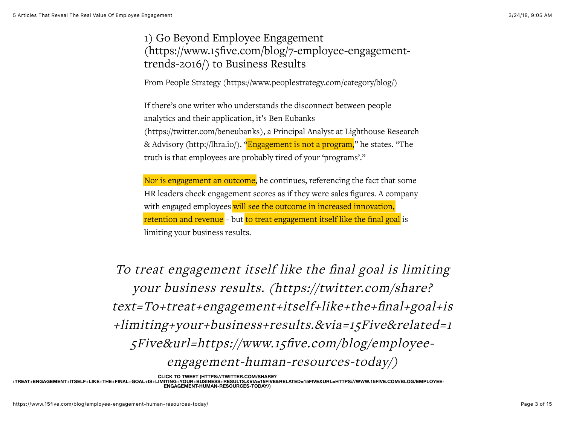1) Go Beyond Employee Engagement [\(https://www.15five.com/blog/7-employee-engagement](https://www.15five.com/blog/7-employee-engagement-trends-2016/)trends-2016/) to Business Results

From [People Strategy \(https://www.peoplestrategy.com/category/blog/\)](https://www.peoplestrategy.com/category/blog/)

If there's one writer who understands the disconnect between people analytics and their application, it's Ben Eubanks [\(https://twitter.com/beneubanks\), a Principal A](https://twitter.com/beneubanks)[nalyst at Lighthouse Research](http://lhra.io/) & Advisory (http://lhra.io/). "Engagement is not a program," he states. "The truth is that employees are probably tired of your 'programs'."

Nor is engagement an outcome, he continues, referencing the fact that some HR leaders check engagement scores as if they were sales figures. A company with engaged employees will see the outcome in increased innovation, retention and revenue – but to treat engagement itself like the final goal is limiting your business results.

To treat engagement itself like the final goal is limiting your business results. (https://twitter.com/share? text=To+treat+engagement+itself+like+the+final+goal+is [+limiting+your+business+results.&via=15Five&related=1](https://twitter.com/share?text=To+treat+engagement+itself+like+the+final+goal+is+limiting+your+business+results.&via=15Five&related=15Five&url=https://www.15five.com/blog/employee-engagement-human-resources-today/) 5Five&url=https://www.15five.com/blog/employeeengagement-human-resources-today/)

**CLICK TO TWEET (HTTPS://TWITTER.COM/SHARE?**

**TEXT=TO[+TREAT+ENGAGEMENT+ITSELF+LIKE+THE+FINAL+GOAL+IS+LIMITING+YOUR+BUSINESS+RESULTS.&VIA=15FIVE&RELATED=15FIVE&URL=HTTPS://WWW.15FIVE.COM/BLOG/EMPLOYEE-](https://twitter.com/share?text=To+treat+engagement+itself+like+the+final+goal+is+limiting+your+business+results.&via=15Five&related=15Five&url=https://www.15five.com/blog/employee-engagement-human-resources-today/)ENGAGEMENT-HUMAN-RESOURCES-TODAY/)**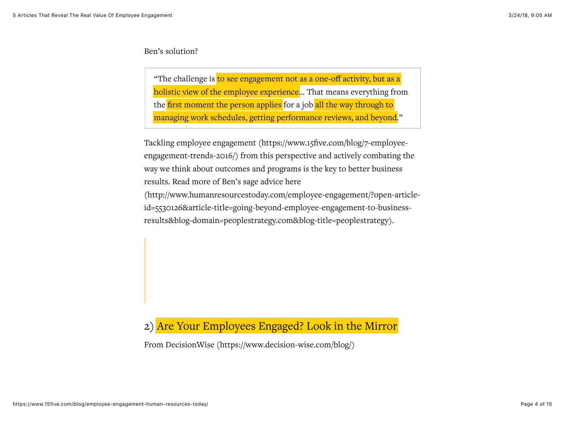#### Ben's solution?

"The challenge is to see engagement not as a one-off activity, but as a holistic view of the employee experience... That means everything from the first moment the person applies for a job all the way through to managing work schedules, getting performance reviews, and beyond."

Tackling employee engagement (https://www.15five.com/blog/7-employee[engagement-trends-2016/\) from this perspective and actively combating th](https://www.15five.com/blog/7-employee-engagement-trends-2016/)e way we think about outcomes and programs is the key to better business results. Read more of Ben's sage advice here

[\(http://www.humanresourcestoday.com/employee-engagement/?open-article](http://www.humanresourcestoday.com/employee-engagement/?open-article-id=5530126&article-title=going-beyond-employee-engagement-to-business-results&blog-domain=peoplestrategy.com&blog-title=peoplestrategy)id=5530126&article-title=going-beyond-employee-engagement-to-businessresults&blog-domain=peoplestrategy.com&blog-title=peoplestrategy).

## 2) Are Your Employees Engaged? Look in the Mirror

From [DecisionWise \(https://www.decision-wise.com/blog/\)](https://www.decision-wise.com/blog/)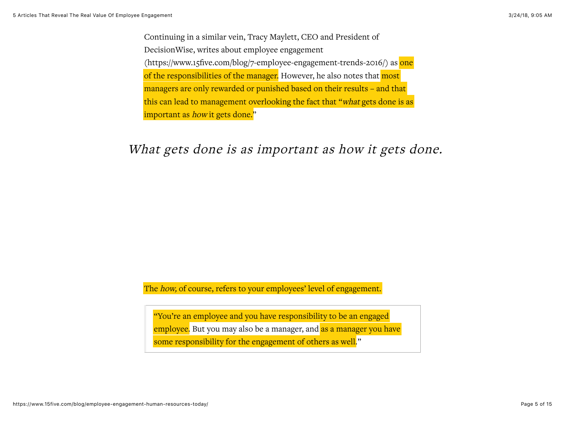Continuing in a similar vein, Tracy Maylett, CEO and President of DecisionWise, writes about employee engagement [\(https://www.15five.com/blog/7-employee-engagement-trends-2016/\)](https://www.15five.com/blog/7-employee-engagement-trends-2016/) as one of the responsibilities of the manager. However, he also notes that most managers are only rewarded or punished based on their results – and that this can lead to management overlooking the fact that "what gets done is as important as *how* it gets done."

# What gets done is as [important](https://twitter.com/share?text=What+gets+done+is+as+important+as+how+it+gets+done.&via=15Five&related=15Five&url=https://www.15five.com/blog/employee-engagement-human-resources-today/) as how it gets done.

The how, of course, refers to your employees' level of engagement.

"You're an employee and you have responsibility to be an engaged employee. But you may also be a manager, and as a manager you have some responsibility for the engagement of others as well."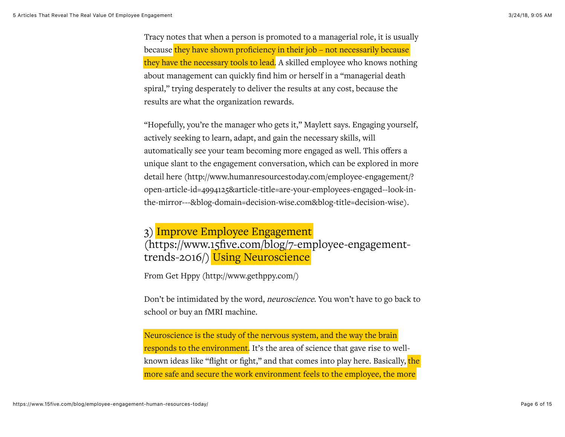Tracy notes that when a person is promoted to a managerial role, it is usually because they have shown proficiency in their job – not necessarily because they have the necessary tools to lead. A skilled employee who knows nothing about management can quickly find him or herself in a "managerial death spiral," trying desperately to deliver the results at any cost, because the results are what the organization rewards.

"Hopefully, you're the manager who gets it," Maylett says. Engaging yourself, actively seeking to learn, adapt, and gain the necessary skills, will automatically see your team becoming more engaged as well. This offers a unique slant to the engagement conversation, which can be explored in more detail here (http://www.humanresourcestoday.com/employee-engagement/? [open-article-id=4994125&article-title=are-your-employees-engaged--look-in](http://www.humanresourcestoday.com/employee-engagement/?open-article-id=4994125&article-title=are-your-employees-engaged--look-in-the-mirror---&blog-domain=decision-wise.com&blog-title=decision-wise)the-mirror---&blog-domain=decision-wise.com&blog-title=decision-wise).

3) Improve Employee Engagement [\(https://www.15five.com/blog/7-employee-engagement](https://www.15five.com/blog/7-employee-engagement-trends-2016/)trends-2016/) Using Neuroscience

From [Get Hppy \(http://www.gethppy.com/\)](http://www.gethppy.com/)

Don't be intimidated by the word, neuroscience. You won't have to go back to school or buy an fMRI machine.

Neuroscience is the study of the nervous system, and the way the brain responds to the environment. It's the area of science that gave rise to wellknown ideas like "flight or fight," and that comes into play here. Basically, the more safe and secure the work environment feels to the employee, the more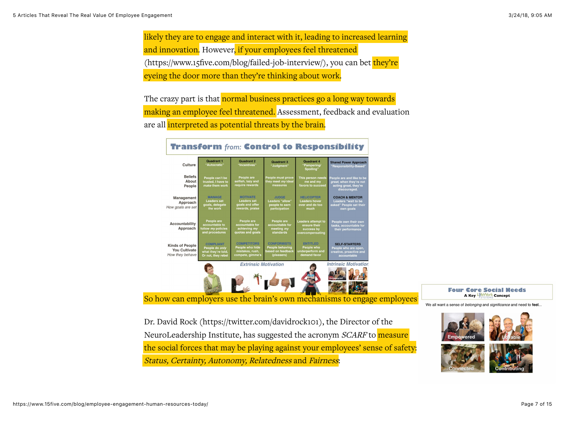likely they are to engage and interact with it, leading to increased learning and innovation. However, if your employees feel threatened [\(https://www.15five.com/blog/failed-job-interview/\), you can](https://www.15five.com/blog/failed-job-interview/) bet they're eyeing the door more than they're thinking about work.

The crazy part is that normal business practices go a long way towards making an employee feel threatened. Assessment, feedback and evaluation are all interpreted as potential threats by the brain.

| Culture                                                           | <b>Quadrant 1</b><br>"Autocratic"                                              | Quadrant 2<br>"Incentives"                                                   | <b>Quadrant 3</b><br>"Judgment"                                                 | Quadrant 4<br>"Pampering/<br>Spoiling'                                      | <b>Shared Power Approach</b><br>"Responsibility-Based"                                        |
|-------------------------------------------------------------------|--------------------------------------------------------------------------------|------------------------------------------------------------------------------|---------------------------------------------------------------------------------|-----------------------------------------------------------------------------|-----------------------------------------------------------------------------------------------|
| <b>Beliefs</b><br>About<br>People                                 | People can't be<br>trusted. I have to<br>make them work                        | People are<br>selfish, lazy and<br>require rewards                           | <b>People must prove</b><br>they meet my ideal<br>measures                      | This person needs<br>me and my<br>favors to succeed                         | People are and like to be<br>great, when they're not<br>acting great, they're<br>discouraged. |
| Management<br>Approach<br>How goals are set                       | <b>MANAGE</b><br><b>Leaders set</b><br>goals, delegate<br>the work             | <b>MOTIVATE</b><br><b>Leaders set</b><br>goals and offer<br>rewards, praise  | <b>JUDGE</b><br>Leaders "allow"<br>people to earn<br>participation              | <b>HELICOPTER</b><br><b>Leaders hover</b><br>over and do too<br>much        | <b>COACH &amp; MENTOR</b><br>Leaders "wait to be<br>asked" People set their<br>own goals      |
| Accountability<br>Approach                                        | People are<br>accountable to<br>follow my policies<br>and procedures           | People are<br>accountable for<br>achieving my<br>quotas and goals            | People are<br>accountable for<br>meeting my<br>standards                        | <b>Leaders attempt to</b><br>ensure their<br>success by<br>overcompensating | People own their own<br>tasks, accountable for<br>their performance                           |
| <b>Kinds of People</b><br><b>You Cultivate</b><br>How they behave | <b>COMPLIANT</b><br>People do only<br>what they're told,<br>Or not, they rebel | <b>COMPETITORS</b><br>People who hide<br>mistakes, rush,<br>compete, gimme's | <b>CONFORMISTS</b><br><b>People behaving</b><br>based on feedback<br>(pleasers) | <b>ENTITLED</b><br><b>People who</b><br>underperform and<br>demand favor    | <b>SELF-STARTERS</b><br>People who are open,<br>creative, proactive and<br>accountable        |
|                                                                   |                                                                                | <b>Extrinsic Motivation</b>                                                  |                                                                                 |                                                                             | <b>Intrinsic Motivation</b>                                                                   |
|                                                                   |                                                                                |                                                                              |                                                                                 |                                                                             | <b>Empowered</b>                                                                              |

Francfarm fun Cantral to Docnancibilit

So how can employers use the brain's own mechanisms to engage employees

**Four Core Social Needs** A Key He Work Concept

We all want a sense of belonging and significance and need to feel..

[Dr. David Rock \(https://twitter.com/davidrock101\),](https://twitter.com/davidrock101) the Director of the NeuroLeadership Institute, has suggested the acronym SCARF to measure the social forces that may be playing against your employees' sense of safety: Status, Certainty, Autonomy, Relatedness and Fairness:

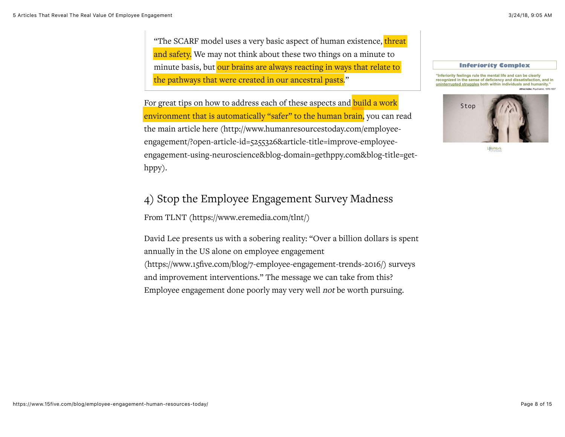"The SCARF model uses a very basic aspect of human existence, threat and safety. We may not think about these two things on a minute to minute basis, but our brains are always reacting in ways that relate to the pathways that were created in our ancestral pasts."

For great tips on how to address each of these aspects and build a work environment that is automatically "safer" to the human brain, you can read the main article here (http://www.humanresourcestoday.com/employeeengagement/?open-article-id=5255326&article-title=improve-employee[engagement-using-neuroscience&blog-domain=gethppy.com&blog-title=get](http://www.humanresourcestoday.com/employee-engagement/?open-article-id=5255326&article-title=improve-employee-engagement-using-neuroscience&blog-domain=gethppy.com&blog-title=get-hppy)hppy).

#### **Inferiority Complex**

"Inferiority feelings rule the mental life and can be clearly recognized in the sense of deficiency and dissatisfaction, and in uninterrupted struggles both within individuals and humanity."



LifeWorl

### 4) [Stop the Employee Engagement](https://www.15five.com/blog/7-employee-engagement-trends-2016/) Survey Madness

From [TLNT \(https://www.eremedia.com/tlnt/\)](https://www.eremedia.com/tlnt/)

David Lee presents us with a sobering reality: "Over a billion dollars is spent annually in the US alone on employee engagement (https://www.15five.com/blog/7-employee-engagement-trends-2016/) surveys [and improvement interventions." The message we can take from this](https://www.15five.com/blog/7-employee-engagement-trends-2016/)? Employee engagement done poorly may very well not be worth pursuing.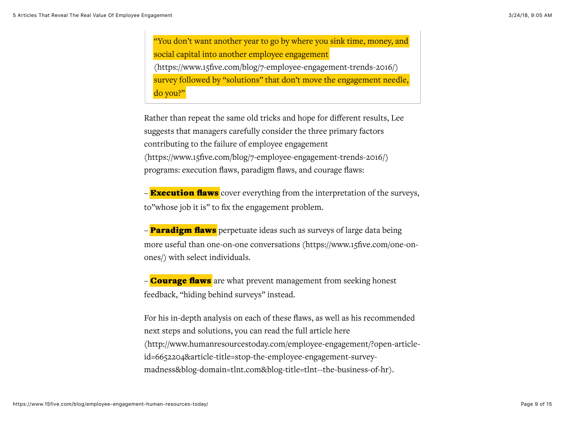"You don't want another year to go by where you sink time, money, and social capital into another employee engagement [\(https://www.15five.com/blog/7-employee-engagement-trends-2016/\)](https://www.15five.com/blog/7-employee-engagement-trends-2016/) survey followed by "solutions" that don't move the engagement needle, do you?"

Rather than repeat the same old tricks and hope for different results, Lee suggests that managers carefully consider the three primary factors contributing to the failure of employee engagement [\(https://www.15five.com/blog/7-employee-engagement-trends-2016/\)](https://www.15five.com/blog/7-employee-engagement-trends-2016/) programs: execution flaws, paradigm flaws, and courage flaws:

 $\overline{\mathbf{F}}$  **Execution flaws** cover everything from the interpretation of the surveys, to"whose job it is" to fix the engagement problem.

– **Paradigm flaws** perpetuate ideas such as surveys of large data being [more useful than one-on-one conversations \(https://www.15five.com/one-on](https://www.15five.com/one-on-ones/)ones/) with select individuals.

– **Courage flaws** are what prevent management from seeking honest feedback, "hiding behind surveys" instead.

For his in-depth analysis on each of these flaws, as well as his recommended next steps and solutions, you can read the full article here [\(http://www.humanresourcestoday.com/employee-engagement/?open-article](http://www.humanresourcestoday.com/employee-engagement/?open-article-id=6652204&article-title=stop-the-employee-engagement-survey-madness&blog-domain=tlnt.com&blog-title=tlnt--the-business-of-hr)id=6652204&article-title=stop-the-employee-engagement-surveymadness&blog-domain=tlnt.com&blog-title=tlnt--the-business-of-hr).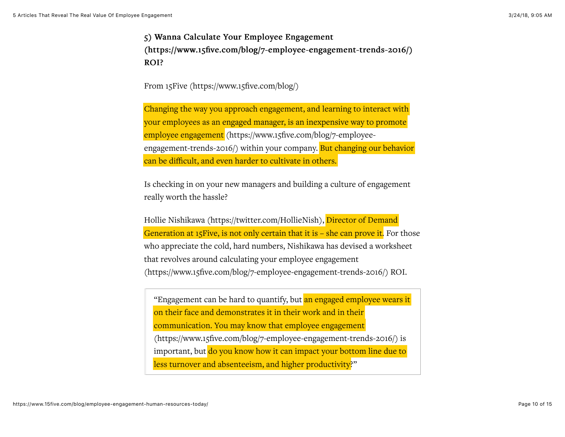5) Wanna Calculate Your Employee Engagement [\(https://www.15five.com/blog/7-employee-engagement-trends-2016/\)](https://www.15five.com/blog/7-employee-engagement-trends-2016/) (https://www.15five.com/blog/7-employee-engagement-trends-2016/) ROI?

From [15Five \(https://www.15five.com/blog/\)](https://www.15five.com/blog/)

Changing the way you approach engagement, and learning to interact with your employees as an engaged manager, is an inexpensive way to promote employee engagement (https://www.15five.com/blog/7-employee[engagement-trends-2016/\) within your company. But changing ou](https://www.15five.com/blog/7-employee-engagement-trends-2016/)r behavior can be difficult, and even harder to cultivate in others.

Is checking in on your new managers and building a culture of engagement really worth the hassle?

[Hollie Nishikawa \(https://twitter.com/HollieNish\),](https://twitter.com/HollieNish) Director of Demand Generation at 15 Five, is not only certain that it is  $-$  she can prove it. For those who appreciate the cold, hard numbers, Nishikawa has devised a worksheet that revolves around calculating your employee engagement [\(https://www.15five.com/blog/7-employee-engagement-trends-2016/\)](https://www.15five.com/blog/7-employee-engagement-trends-2016/) ROI.

"Engagement can be hard to quantify, but an engaged employee wears it on their face and demonstrates it in their work and in their communication. You may know that employee engagement [\(https://www.15five.com/blog/7-employee-engagement-trends-2016/\)](https://www.15five.com/blog/7-employee-engagement-trends-2016/) is important, but do you know how it can impact your bottom line due to less turnover and absenteeism, and higher productivity?"